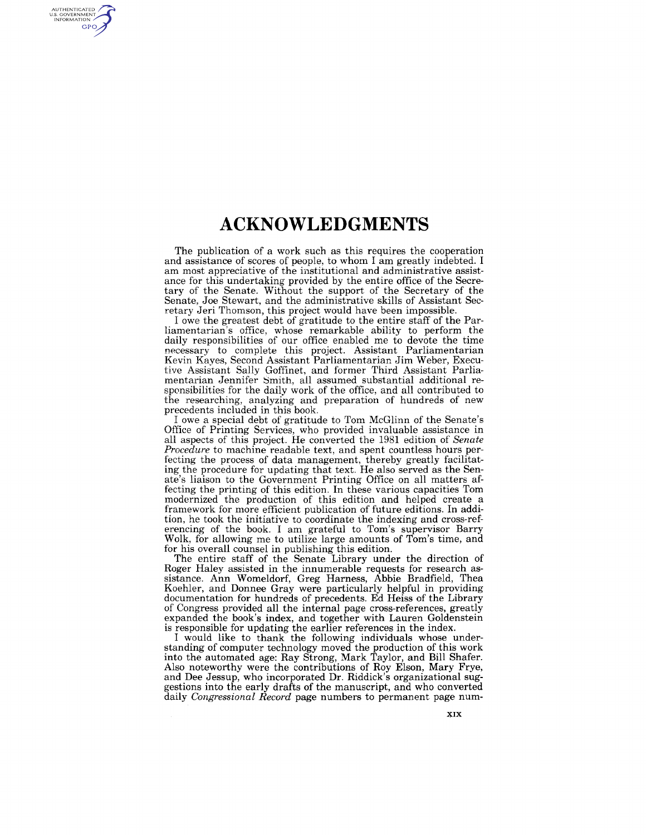## **ACKNOWLEDGMENTS**

AUTHENTICATED<br>U.S. GOVERNMENT<br>INFORMATION

GPO

The publication of a work such as this requires the cooperation and assistance of scores of people, to whom I am greatly indebted. I am most appreciative of the institutional and administrative assistance for this undertaking provided by the entire office of the Secretary of the Senate. Without the support of the Secretary of the Senate, Joe Stewart, and the administrative skills of Assistant Secretary Jeri Thomson, this project would have been impossible.

lowe the greatest debt of gratitude to the entire staff of the Parliamentarian's office, whose remarkable ability to perform the daily responsibilities of our office enabled me to devote the time necessary to complete this project. Assistant Parliamentarian Kevin Kayes, Second Assistant Parliamentarian Jim Weber, Executive Assistant Sally Goffinet, and former Third Assistant Parliamentarian Jennifer Smith, all assumed substantial additional responsibilities for the daily work of the office, and all contributed to the researching, analyzing and preparation of hundreds of new precedents included in this book.

lowe a special debt of gratitude to Tom McGlinn of the Senate's Office of Printing Services, who provided invaluable assistance in all aspects of this project. He converted the 1981 edition of *Senate Procedure* to machine readable text, and spent countless hours perfecting the process of data management, thereby greatly facilitating the procedure for updating that text. He also served as the Senate's liaison to the Government Printing Office on all matters affecting the printing of this edition. In these various capacities Tom modernized the production of this edition and helped create a framework for more efficient publication of future editions. In addition, he took the initiative to coordinate the indexing and cross-referencing of the book. I am grateful to Tom's supervisor Barry Wolk, for allowing me to utilize large amounts of Tom's time, and for his overall counsel in publishing this edition.

The entire staff of the Senate Library under the direction of Roger Haley assisted in the innumerable requests for research assistance. Ann Womeldorf, Greg Harness, Abbie Bradfield, Thea Koehler, and Donnee Gray were particularly helpful in providing documentation for hundreds of precedents. Ed Heiss of the Library of Congress provided all the internal page cross-references, greatly expanded the book's index, and together with Lauren Goldenstein is responsible for updating the earlier references in the index.

I would like to thank the following individuals whose understanding of computer technology moved the production of this work into the automated age: Ray Strong, Mark Taylor, and Bill Shafer. Also noteworthy were the contributions of Roy Elson, Mary Frye, and Dee Jessup, who incorporated Dr. Riddick's organizational suggestions into the early drafts of the manuscript, and who converted daily *Congressional Record* page numbers to permanent page num-